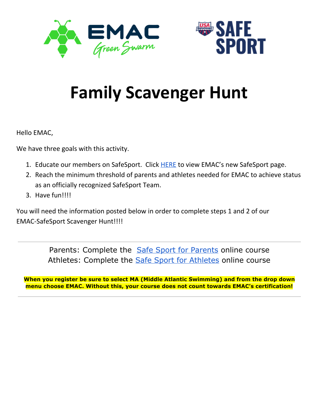



# **Family Scavenger Hunt**

Hello EMAC,

We have three goals with this activity.

- 1. Educate our members on SafeSport. Click [HERE](https://www.teamunify.com/TabGeneric.jsp?_tabid_=230491&team=maemac) to view EMAC's new SafeSport page.
- 2. Reach the minimum threshold of parents and athletes needed for EMAC to achieve status as an officially recognized SafeSport Team.
- 3. Have fun!!!!

You will need the information posted below in order to complete steps 1 and 2 of our EMAC-SafeSport Scavenger Hunt!!!!

> [Parents](https://www.usaswimming.org/articles-landing-page/2017/02/16/safe-sport-for-parents): Complete the Safe Sport for Parents online course [Athletes](https://www.usaswimming.org/articles-landing-page/2017/04/05/free-safe-sport-training-for-athletes): Complete the **Safe Sport for Athletes online course**

**When you register be sure to select MA (Middle Atlantic Swimming) and from the drop down menu choose EMAC. Without this, your course does not count towards EMAC's certification!**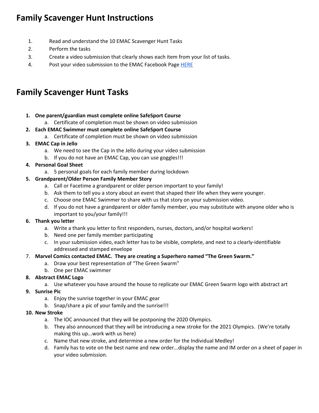# **Family Scavenger Hunt Instructions**

- 1. Read and understand the 10 EMAC Scavenger Hunt Tasks
- 2. Perform the tasks
- 3. Create a video submission that clearly shows each item from your list of tasks.
- 4. Post your video submission to the EMAC Facebook Page [HERE](https://www.facebook.com/EMACswim/?eid=ARAPGjvKoqYnfaUU8dVADTQ_jkU31FOCIDIFpvtOYDcD665IHmts1fAQ8dEx7p1N4-NfY9wZFMAtT-mW)

# **Family Scavenger Hunt Tasks**

#### **1. One parent/guardian must complete online SafeSport Course**

a. Certificate of completion must be shown on video submission

#### **2. Each EMAC Swimmer must complete online SafeSport Course**

a. Certificate of completion must be shown on video submission

#### **3. EMAC Cap in Jello**

- a. We need to see the Cap in the Jello during your video submission
- b. If you do not have an EMAC Cap, you can use goggles!!!

## **4. Personal Goal Sheet**

a. 5 personal goals for each family member during lockdown

## **5. Grandparent/Older Person Family Member Story**

- a. Call or Facetime a grandparent or older person important to your family!
- b. Ask them to tell you a story about an event that shaped their life when they were younger.
- c. Choose one EMAC Swimmer to share with us that story on your submission video.
- d. If you do not have a grandparent or older family member, you may substitute with anyone older who is important to you/your family!!!

#### **6. Thank you letter**

- a. Write a thank you letter to first responders, nurses, doctors, and/or hospital workers!
- b. Need one per family member participating
- c. In your submission video, each letter has to be visible, complete, and next to a clearly-identifiable addressed and stamped envelope

## 7. **Marvel Comics contacted EMAC. They are creating a Superhero named "The Green Swarm."**

- a. Draw your best representation of "The Green Swarm"
- b. One per EMAC swimmer

## **8. Abstract EMAC Logo**

a. Use whatever you have around the house to replicate our EMAC Green Swarm logo with abstract art

## **9. Sunrise Pic**

- a. Enjoy the sunrise together in your EMAC gear
- b. Snap/share a pic of your family and the sunrise!!!

#### **10. New Stroke**

- a. The IOC announced that they will be postponing the 2020 Olympics.
- b. They also announced that they will be introducing a new stroke for the 2021 Olympics. (We're totally making this up...work with us here)
- c. Name that new stroke, and determine a new order for the Individual Medley!
- d. Family has to vote on the best name and new order...display the name and IM order on a sheet of paper in your video submission.